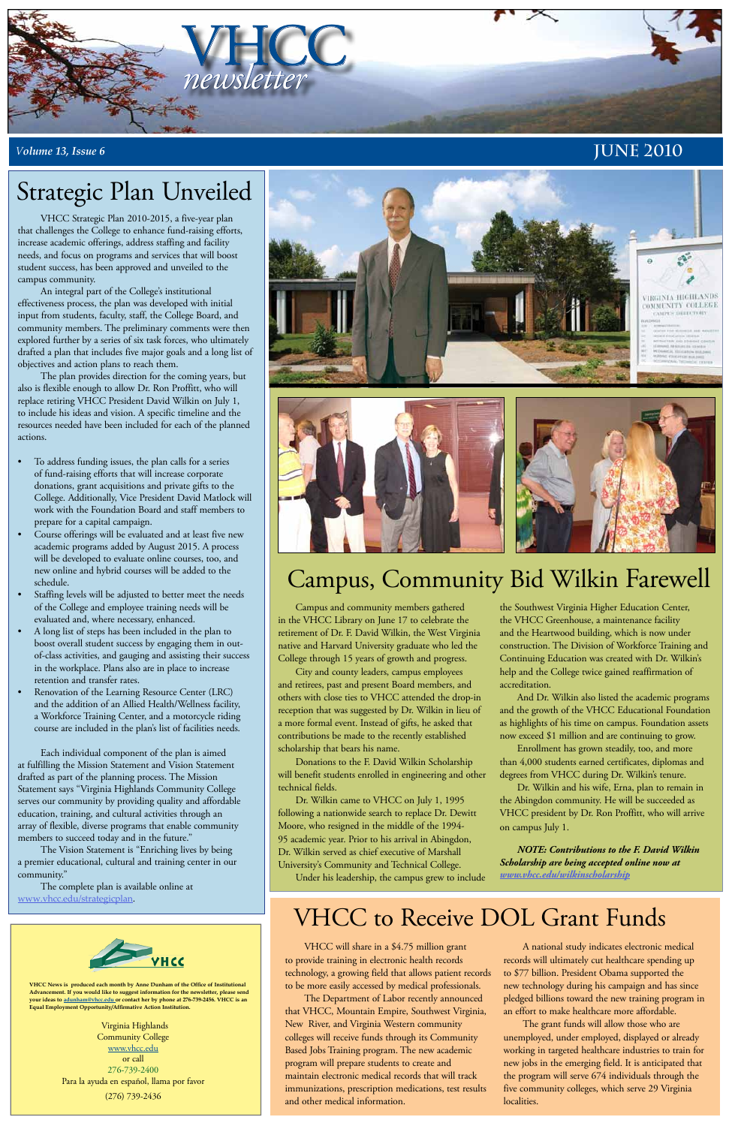

### *<sup>V</sup>olume 13, Issue 6* **June 2010**

**VHCC News is produced each month by Anne Dunham of the Office of Institutional Advancement. If you would like to suggest information for the newsletter, please send your ideas to adunham@vhcc.edu or contact her by phone at 276-739-2456. VHCC is an Equal Employment Opportunity/Affirmative Action Institution.**

> Virginia Highlands Community College www.vhcc.edu or call 276-739-2400 Para la ayuda en español, llama por favor (276) 739-2436

VHCC Strategic Plan 2010-2015, a five-year plan that challenges the College to enhance fund-raising efforts, increase academic offerings, address staffing and facility needs, and focus on programs and services that will boost student success, has been approved and unveiled to the campus community.

An integral part of the College's institutional effectiveness process, the plan was developed with initial input from students, faculty, staff, the College Board, and community members. The preliminary comments were then explored further by a series of six task forces, who ultimately drafted a plan that includes five major goals and a long list of objectives and action plans to reach them.

- To address funding issues, the plan calls for a series of fund-raising efforts that will increase corporate donations, grant acquisitions and private gifts to the College. Additionally, Vice President David Matlock will work with the Foundation Board and staff members to prepare for a capital campaign.
- Course offerings will be evaluated and at least five new academic programs added by August 2015. A process will be developed to evaluate online courses, too, and new online and hybrid courses will be added to the schedule.
- Staffing levels will be adjusted to better meet the needs of the College and employee training needs will be evaluated and, where necessary, enhanced.
- A long list of steps has been included in the plan to boost overall student success by engaging them in outof-class activities, and gauging and assisting their success in the workplace. Plans also are in place to increase retention and transfer rates.
- Renovation of the Learning Resource Center (LRC) and the addition of an Allied Health/Wellness facility, a Workforce Training Center, and a motorcycle riding course are included in the plan's list of facilities needs.

The plan provides direction for the coming years, but also is flexible enough to allow Dr. Ron Proffitt, who will replace retiring VHCC President David Wilkin on July 1, to include his ideas and vision. A specific timeline and the resources needed have been included for each of the planned actions.

Each individual component of the plan is aimed at fulfilling the Mission Statement and Vision Statement drafted as part of the planning process. The Mission Statement says "Virginia Highlands Community College serves our community by providing quality and affordable education, training, and cultural activities through an array of flexible, diverse programs that enable community members to succeed today and in the future."





The Vision Statement is "Enriching lives by being a premier educational, cultural and training center in our community."

The complete plan is available online at www.vhcc.edu/strategicplan.



## Strategic Plan Unveiled

# Campus, Community Bid Wilkin Farewell

Campus and community members gathered in the VHCC Library on June 17 to celebrate the retirement of Dr. F. David Wilkin, the West Virginia native and Harvard University graduate who led the College through 15 years of growth and progress.

City and county leaders, campus employees and retirees, past and present Board members, and others with close ties to VHCC attended the drop-in reception that was suggested by Dr. Wilkin in lieu of a more formal event. Instead of gifts, he asked that contributions be made to the recently established scholarship that bears his name.

Donations to the F. David Wilkin Scholarship will benefit students enrolled in engineering and other technical fields.

Dr. Wilkin came to VHCC on July 1, 1995 following a nationwide search to replace Dr. Dewitt Moore, who resigned in the middle of the 1994- 95 academic year. Prior to his arrival in Abingdon, Dr. Wilkin served as chief executive of Marshall University's Community and Technical College. Under his leadership, the campus grew to include

the Southwest Virginia Higher Education Center, the VHCC Greenhouse, a maintenance facility and the Heartwood building, which is now under construction. The Division of Workforce Training and Continuing Education was created with Dr. Wilkin's help and the College twice gained reaffirmation of accreditation.

And Dr. Wilkin also listed the academic programs and the growth of the VHCC Educational Foundation as highlights of his time on campus. Foundation assets now exceed \$1 million and are continuing to grow.

Enrollment has grown steadily, too, and more than 4,000 students earned certificates, diplomas and degrees from VHCC during Dr. Wilkin's tenure.

Dr. Wilkin and his wife, Erna, plan to remain in the Abingdon community. He will be succeeded as VHCC president by Dr. Ron Proffitt, who will arrive on campus July 1.

*NOTE: Contributions to the F. David Wilkin Scholarship are being accepted online now at www.vhcc.edu/wilkinscholarship*

VHCC will share in a \$4.75 million grant to provide training in electronic health records technology, a growing field that allows patient records to be more easily accessed by medical professionals.

The Department of Labor recently announced that VHCC, Mountain Empire, Southwest Virginia, New River, and Virginia Western community colleges will receive funds through its Community Based Jobs Training program. The new academic program will prepare students to create and maintain electronic medical records that will track immunizations, prescription medications, test results and other medical information.

A national study indicates electronic medical records will ultimately cut healthcare spending up to \$77 billion. President Obama supported the new technology during his campaign and has since pledged billions toward the new training program in an effort to make healthcare more affordable.

The grant funds will allow those who are unemployed, under employed, displayed or already working in targeted healthcare industries to train for new jobs in the emerging field. It is anticipated that the program will serve 674 individuals through the five community colleges, which serve 29 Virginia localities.

# VHCC to Receive DOL Grant Funds